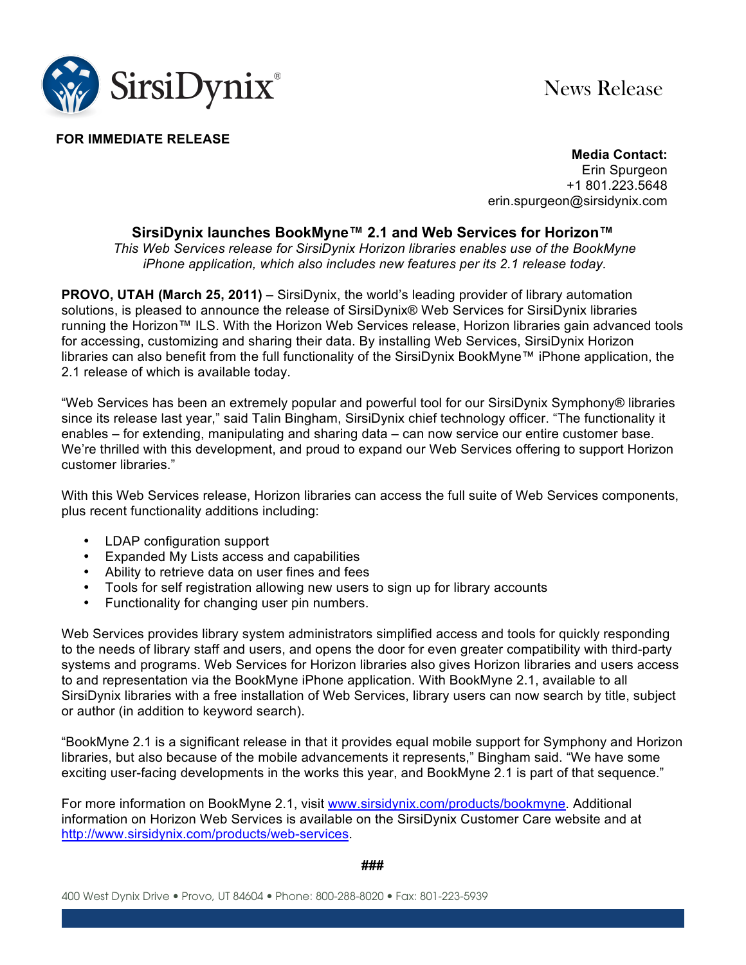

News Release

## **FOR IMMEDIATE RELEASE**

**Media Contact:** Erin Spurgeon +1 801.223.5648 erin.spurgeon@sirsidynix.com

## **SirsiDynix launches BookMyne™ 2.1 and Web Services for Horizon™**

*This Web Services release for SirsiDynix Horizon libraries enables use of the BookMyne iPhone application, which also includes new features per its 2.1 release today.* 

**PROVO, UTAH (March 25, 2011)** – SirsiDynix, the world's leading provider of library automation solutions, is pleased to announce the release of SirsiDynix® Web Services for SirsiDynix libraries running the Horizon™ ILS. With the Horizon Web Services release, Horizon libraries gain advanced tools for accessing, customizing and sharing their data. By installing Web Services, SirsiDynix Horizon libraries can also benefit from the full functionality of the SirsiDynix BookMyne™ iPhone application, the 2.1 release of which is available today.

"Web Services has been an extremely popular and powerful tool for our SirsiDynix Symphony® libraries since its release last year," said Talin Bingham, SirsiDynix chief technology officer. "The functionality it enables – for extending, manipulating and sharing data – can now service our entire customer base. We're thrilled with this development, and proud to expand our Web Services offering to support Horizon customer libraries."

With this Web Services release, Horizon libraries can access the full suite of Web Services components, plus recent functionality additions including:

- LDAP configuration support
- Expanded My Lists access and capabilities
- Ability to retrieve data on user fines and fees
- Tools for self registration allowing new users to sign up for library accounts
- Functionality for changing user pin numbers.

Web Services provides library system administrators simplified access and tools for quickly responding to the needs of library staff and users, and opens the door for even greater compatibility with third-party systems and programs. Web Services for Horizon libraries also gives Horizon libraries and users access to and representation via the BookMyne iPhone application. With BookMyne 2.1, available to all SirsiDynix libraries with a free installation of Web Services, library users can now search by title, subject or author (in addition to keyword search).

"BookMyne 2.1 is a significant release in that it provides equal mobile support for Symphony and Horizon libraries, but also because of the mobile advancements it represents," Bingham said. "We have some exciting user-facing developments in the works this year, and BookMyne 2.1 is part of that sequence."

For more information on BookMyne 2.1, visit www.sirsidynix.com/products/bookmyne. Additional information on Horizon Web Services is available on the SirsiDynix Customer Care website and at http://www.sirsidynix.com/products/web-services.

## **###**

400 West Dynix Drive Provo, UT 84604 Phone: 800-288-8020 Fax: 801-223-5939